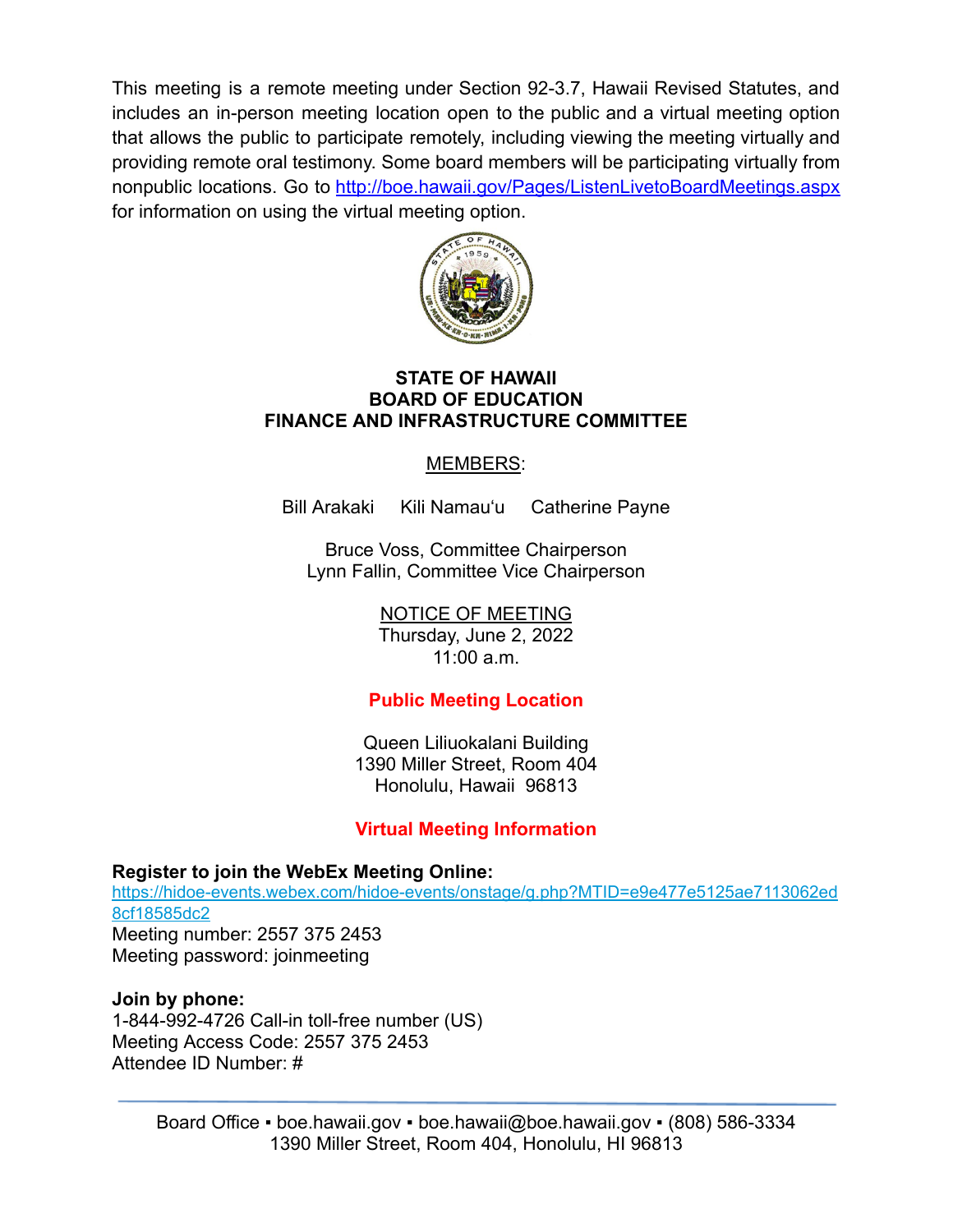This meeting is a remote meeting under Section 92-3.7, Hawaii Revised Statutes, and includes an in-person meeting location open to the public and a virtual meeting option that allows the public to participate remotely, including viewing the meeting virtually and providing remote oral testimony. Some board members will be participating virtually from nonpublic locations. Go to <http://boe.hawaii.gov/Pages/ListenLivetoBoardMeetings.aspx> for information on using the virtual meeting option.



#### **STATE OF HAWAII BOARD OF EDUCATION FINANCE AND INFRASTRUCTURE COMMITTEE**

## MEMBERS:

Bill Arakaki Kili Namauʻu Catherine Payne

Bruce Voss, Committee Chairperson Lynn Fallin, Committee Vice Chairperson

> NOTICE OF MEETING Thursday, June 2, 2022 11:00 a.m.

# **Public Meeting Location**

Queen Liliuokalani Building 1390 Miller Street, Room 404 Honolulu, Hawaii 96813

# **Virtual Meeting Information**

## **Register to join the WebEx Meeting Online:**

[https://hidoe-events.webex.com/hidoe-events/onstage/g.php?MTID=e9e477e5125ae7113062ed](https://hidoe-events.webex.com/hidoe-events/onstage/g.php?MTID=e9e477e5125ae7113062ed8cf18585dc2) [8cf18585dc2](https://hidoe-events.webex.com/hidoe-events/onstage/g.php?MTID=e9e477e5125ae7113062ed8cf18585dc2) Meeting number: 2557 375 2453 Meeting password: joinmeeting

**Join by phone:** 1-844-992-4726 Call-in toll-free number (US) Meeting Access Code: 2557 375 2453

Attendee ID Number: #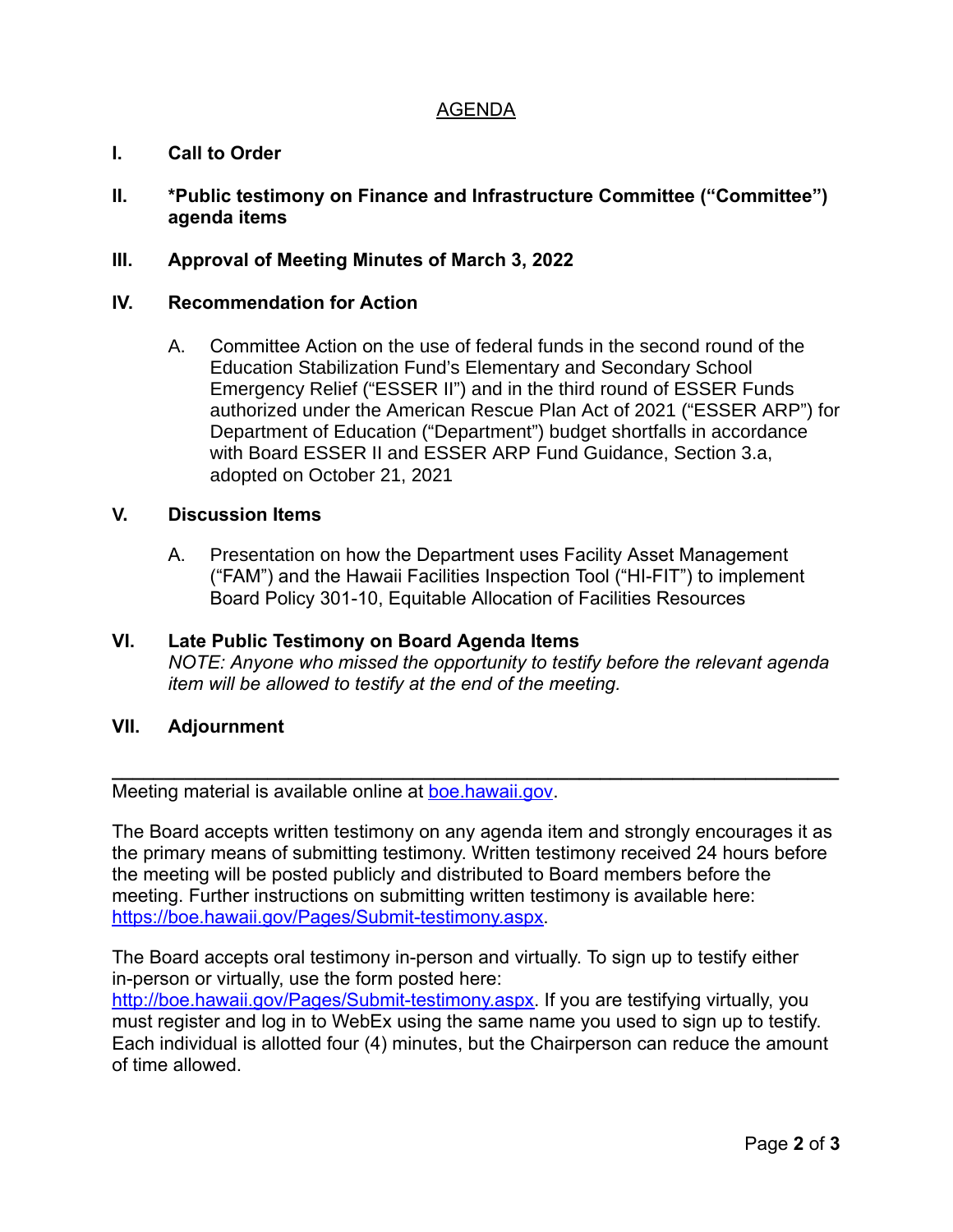### AGENDA

### **I. Call to Order**

**II. \*Public testimony on Finance and Infrastructure Committee ("Committee") agenda items**

### **III. Approval of Meeting Minutes of March 3, 2022**

### **IV. Recommendation for Action**

A. Committee Action on the use of federal funds in the second round of the Education Stabilization Fund's Elementary and Secondary School Emergency Relief ("ESSER II") and in the third round of ESSER Funds authorized under the American Rescue Plan Act of 2021 ("ESSER ARP") for Department of Education ("Department") budget shortfalls in accordance with Board ESSER II and ESSER ARP Fund Guidance, Section 3.a, adopted on October 21, 2021

#### **V. Discussion Items**

- A. Presentation on how the Department uses Facility Asset Management ("FAM") and the Hawaii Facilities Inspection Tool ("HI-FIT") to implement Board Policy 301-10, Equitable Allocation of Facilities Resources
- **VI. Late Public Testimony on Board Agenda Items** *NOTE: Anyone who missed the opportunity to testify before the relevant agenda item will be allowed to testify at the end of the meeting.*

### **VII. Adjournment**

Meeting material is available online at [boe.hawaii.gov.](http://boe.hawaii.gov/Pages/Welcome.aspx)

The Board accepts written testimony on any agenda item and strongly encourages it as the primary means of submitting testimony. Written testimony received 24 hours before the meeting will be posted publicly and distributed to Board members before the meeting. Further instructions on submitting written testimony is available here: [https://boe.hawaii.gov/Pages/Submit-testimony.aspx.](https://boe.hawaii.gov/Pages/Submit-testimony.aspx)

**\_\_\_\_\_\_\_\_\_\_\_\_\_\_\_\_\_\_\_\_\_\_\_\_\_\_\_\_\_\_\_\_\_\_\_\_\_\_\_\_\_\_\_\_\_\_\_\_\_\_\_\_\_\_\_\_\_\_\_\_\_\_\_\_\_\_\_\_\_\_**

The Board accepts oral testimony in-person and virtually. To sign up to testify either in-person or virtually, use the form posted here:

[http://boe.hawaii.gov/Pages/Submit-testimony.aspx.](http://boe.hawaii.gov/Pages/Submit-testimony.aspx) If you are testifying virtually, you must register and log in to WebEx using the same name you used to sign up to testify. Each individual is allotted four (4) minutes, but the Chairperson can reduce the amount of time allowed.